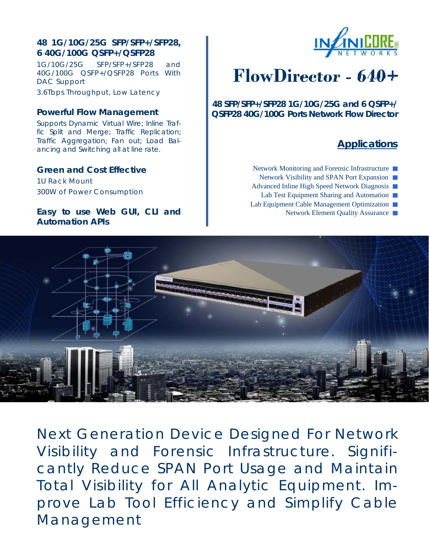# **48 1G/10G/25G SFP/SFP+/SFP28, 6 40G/100G QSFP+/QSFP28**

1G/10G/25G SFP/SFP+/SFP28 and 40G/100G QSFP+/QSFP28 Ports With DAC Support

3.6Tbps Throughput, Low Latency

### **Powerful Flow Management**

Supports Dynamic Virtual Wire; Inline Traffic Split and Merge; Traffic Replication; Traffic Aggregation; Fan out; Load Balancing and Switching all at line rate.

## **Green and Cost Effective**

1U Rack Mount 300W of Power Consumption

## **Easy to use Web GUI, CLI and Automation APIs**



# **FlowDirector - 640+**

**48 SFP/SFP+/SFP28 1G/10G/25G and 6 QSFP+/ QSFP28 40G/100G Ports Network Flow Director** 

# **Applications**

Network Monitoring and Forensic Infrastructure ■ Network Visibility and SPAN Port Expansion

- Advanced Inline High Speed Network Diagnosis
- Lab Test Equipment Sharing and Automation
- Lab Equipment Cable Management Optimization
	- Network Element Quality Assurance ■



Next Generation Device Designed For Network Visibility and Forensic Infrastructure. Significantly Reduce SPAN Port Usage and Maintain Total Visibility for All Analytic Equipment. Improve Lab Tool Efficiency and Simplify Cable Management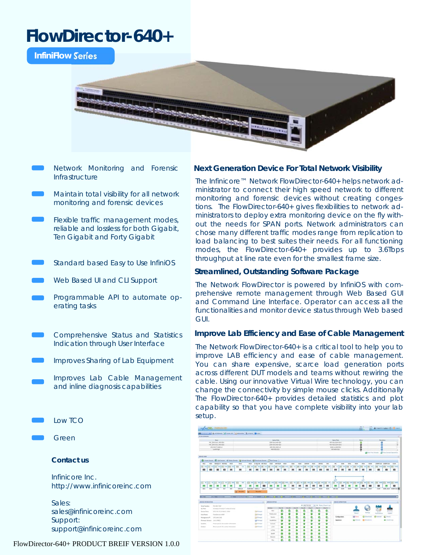# **FlowDirector-640+**

**InfiniFlow Series** 



- Network Monitoring and Forensic Infrastructure
- Maintain total visibility for all network monitoring and forensic devices
- Flexible traffic management modes, reliable and lossless for both Gigabit, Ten Gigabit and Forty Gigabit
- Standard based Easy to Use InfiniOS
- Web Based UI and CLI Support
- Programmable API to automate operating tasks
- Comprehensive Status and Statistics Indication through User Interface
- Improves Sharing of Lab Equipment
	- Improves Lab Cable Management and inline diagnosis capabilities
- Low TCO
- Green

### **Contact us**

Infinicore Inc. http://www.infinicoreinc.com

Sales: sales@infinicoreinc.com Support: support@infinicoreinc.com

#### FlowDirector-640+ PRODUCT BREIF VERSION 1.0.0

#### **Next Generation Device For Total Network Visibility**

The Infinicore™ Network FlowDirector-640+ helps network administrator to connect their high speed network to different monitoring and forensic devices without creating congestions. The FlowDirector-640+ gives flexibilities to network administrators to deploy extra monitoring device on the fly without the needs for SPAN ports. Network administrators can chose many different traffic modes range from replication to load balancing to best suites their needs. For all functioning modes, the FlowDirector-640+ provides up to 3.6Tbps throughput at line rate even for the smallest frame size.

#### **Streamlined, Outstanding Software Package**

The Network FlowDirector is powered by InfiniOS with comprehensive remote management through Web Based GUI and Command Line Interface. Operator can access all the functionalities and monitor device status through Web based GUI.

#### **Improve Lab Efficiency and Ease of Cable Management**

The Network FlowDirector-640+ is a critical tool to help you to improve LAB efficiency and ease of cable management. You can share expensive, scarce load generation ports across different DUT models and teams without rewiring the cable. Using our innovative Virtual Wire technology, you can change the connectivity by simple mouse clicks. Additionally The FlowDirector-640+ provides detailed statistics and plot capability so that you have complete visibility into your lab setup.

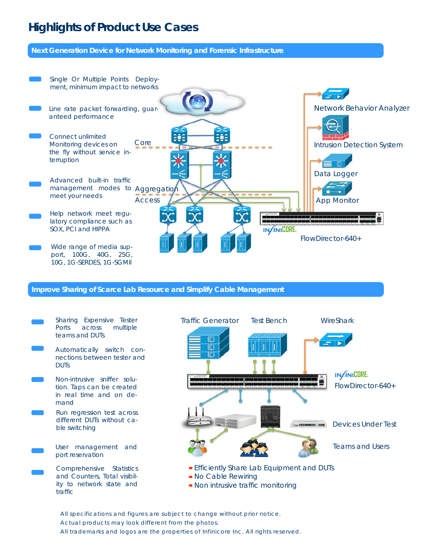# **Highlights of Product Use Cases**

**Next Generation Device for Network Monitoring and Forensic Infrastructure** 



#### **Improve Sharing of Scarce Lab Resource and Simplify Cable Management**



All specifications and figures are subject to change without prior notice. Actual products may look different from the photos. All trademarks and logos are the properties of Infinicore Inc. All rights reserved.